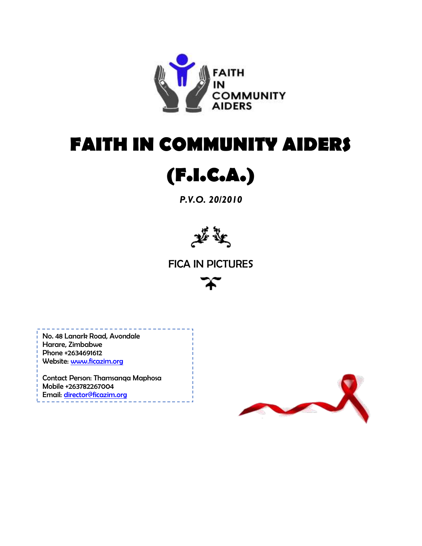

# **FAITH IN COMMUNITY AIDERS**



*P.V.O. 20/2010*



FICA IN PICTURES



No. 48 Lanark Road, Avondale Harare, Zimbabwe Phone +2634691612 Website: [www.ficazim.org](http://www.ficazim.org/)

Contact Person: Thamsanqa Maphosa Mobile +263782267004 Email: [director@ficazim.org](mailto:director@ficazim.org)

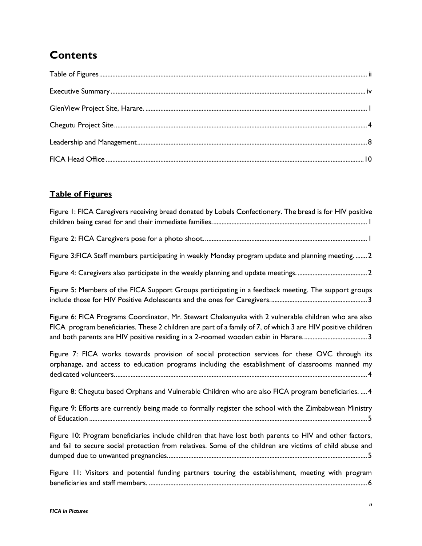## **Contents**

### <span id="page-1-0"></span>**Table of Figures**

| Figure 1: FICA Caregivers receiving bread donated by Lobels Confectionery. The bread is for HIV positive                                                                                                            |
|---------------------------------------------------------------------------------------------------------------------------------------------------------------------------------------------------------------------|
|                                                                                                                                                                                                                     |
| Figure 3: FICA Staff members participating in weekly Monday program update and planning meeting.  2                                                                                                                 |
|                                                                                                                                                                                                                     |
| Figure 5: Members of the FICA Support Groups participating in a feedback meeting. The support groups                                                                                                                |
| Figure 6: FICA Programs Coordinator, Mr. Stewart Chakanyuka with 2 vulnerable children who are also<br>FICA program beneficiaries. These 2 children are part of a family of 7, of which 3 are HIV positive children |
| Figure 7: FICA works towards provision of social protection services for these OVC through its<br>orphanage, and access to education programs including the establishment of classrooms manned my                   |
| Figure 8: Chegutu based Orphans and Vulnerable Children who are also FICA program beneficiaries.  4                                                                                                                 |
| Figure 9: Efforts are currently being made to formally register the school with the Zimbabwean Ministry                                                                                                             |
| Figure 10: Program beneficiaries include children that have lost both parents to HIV and other factors,<br>and fail to secure social protection from relatives. Some of the children are victims of child abuse and |
| Figure 11: Visitors and potential funding partners touring the establishment, meeting with program                                                                                                                  |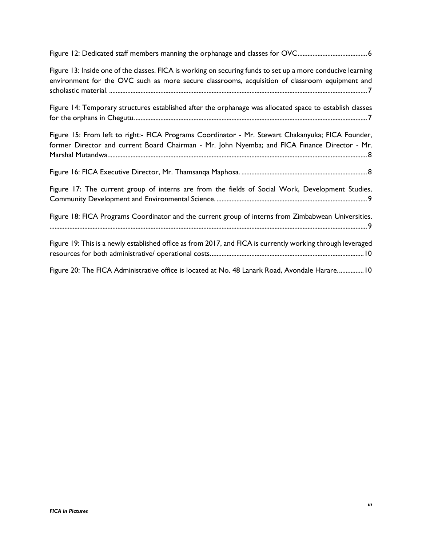[Figure 12: Dedicated staff members manning the orphanage and classes for OVC..........................................6](file:///C:/Users/Thami/Google%20Drive/Program%20Files/Documented%20Stories/FICA%20Work%20in%20Pictures.docx%23_Toc482357085)

Figure 13: Inside one of the classes. FICA [is working on securing funds to set up a more conducive learning](file:///C:/Users/Thami/Google%20Drive/Program%20Files/Documented%20Stories/FICA%20Work%20in%20Pictures.docx%23_Toc482357086)  [environment for the OVC such as more secure classrooms, acquisition of classroom equipment and](file:///C:/Users/Thami/Google%20Drive/Program%20Files/Documented%20Stories/FICA%20Work%20in%20Pictures.docx%23_Toc482357086)  scholastic material. [............................................................................................................................................................7](file:///C:/Users/Thami/Google%20Drive/Program%20Files/Documented%20Stories/FICA%20Work%20in%20Pictures.docx%23_Toc482357086)

[Figure 14: Temporary structures established after the orphanage was allocated space to](file:///C:/Users/Thami/Google%20Drive/Program%20Files/Documented%20Stories/FICA%20Work%20in%20Pictures.docx%23_Toc482357087) establish classes [for the orphans in Chegutu.............................................................................................................................................7](file:///C:/Users/Thami/Google%20Drive/Program%20Files/Documented%20Stories/FICA%20Work%20in%20Pictures.docx%23_Toc482357087)

| Figure 15: From left to right:- FICA Programs Coordinator - Mr. Stewart Chakanyuka; FICA Founder,<br>former Director and current Board Chairman - Mr. John Nyemba; and FICA Finance Director - Mr. |
|----------------------------------------------------------------------------------------------------------------------------------------------------------------------------------------------------|
|                                                                                                                                                                                                    |
| Figure 17: The current group of interns are from the fields of Social Work, Development Studies,                                                                                                   |
| Figure 18: FICA Programs Coordinator and the current group of interns from Zimbabwean Universities.                                                                                                |
| Figure 19: This is a newly established office as from 2017, and FICA is currently working through leveraged                                                                                        |
| Figure 20: The FICA Administrative office is located at No. 48 Lanark Road, Avondale Harare 10                                                                                                     |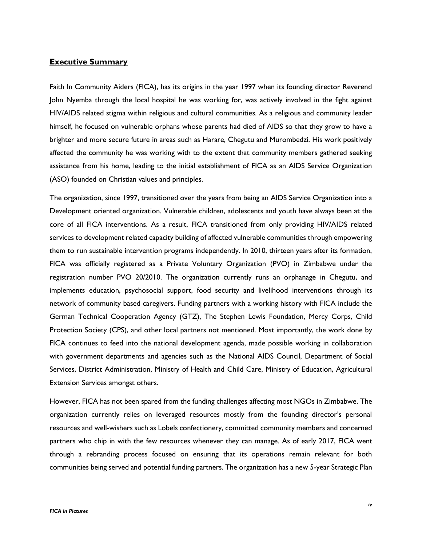#### <span id="page-3-0"></span>**Executive Summary**

Faith In Community Aiders (FICA), has its origins in the year 1997 when its founding director Reverend John Nyemba through the local hospital he was working for, was actively involved in the fight against HIV/AIDS related stigma within religious and cultural communities. As a religious and community leader himself, he focused on vulnerable orphans whose parents had died of AIDS so that they grow to have a brighter and more secure future in areas such as Harare, Chegutu and Murombedzi. His work positively affected the community he was working with to the extent that community members gathered seeking assistance from his home, leading to the initial establishment of FICA as an AIDS Service Organization (ASO) founded on Christian values and principles.

The organization, since 1997, transitioned over the years from being an AIDS Service Organization into a Development oriented organization. Vulnerable children, adolescents and youth have always been at the core of all FICA interventions. As a result, FICA transitioned from only providing HIV/AIDS related services to development related capacity building of affected vulnerable communities through empowering them to run sustainable intervention programs independently. In 2010, thirteen years after its formation, FICA was officially registered as a Private Voluntary Organization (PVO) in Zimbabwe under the registration number PVO 20/2010. The organization currently runs an orphanage in Chegutu, and implements education, psychosocial support, food security and livelihood interventions through its network of community based caregivers. Funding partners with a working history with FICA include the German Technical Cooperation Agency (GTZ), The Stephen Lewis Foundation, Mercy Corps, Child Protection Society (CPS), and other local partners not mentioned. Most importantly, the work done by FICA continues to feed into the national development agenda, made possible working in collaboration with government departments and agencies such as the National AIDS Council, Department of Social Services, District Administration, Ministry of Health and Child Care, Ministry of Education, Agricultural Extension Services amongst others.

However, FICA has not been spared from the funding challenges affecting most NGOs in Zimbabwe. The organization currently relies on leveraged resources mostly from the founding director's personal resources and well-wishers such as Lobels confectionery, committed community members and concerned partners who chip in with the few resources whenever they can manage. As of early 2017, FICA went through a rebranding process focused on ensuring that its operations remain relevant for both communities being served and potential funding partners. The organization has a new 5-year Strategic Plan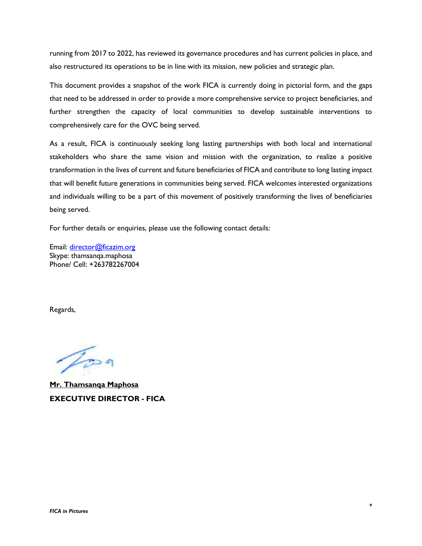running from 2017 to 2022, has reviewed its governance procedures and has current policies in place, and also restructured its operations to be in line with its mission, new policies and strategic plan.

This document provides a snapshot of the work FICA is currently doing in pictorial form, and the gaps that need to be addressed in order to provide a more comprehensive service to project beneficiaries, and further strengthen the capacity of local communities to develop sustainable interventions to comprehensively care for the OVC being served.

As a result, FICA is continuously seeking long lasting partnerships with both local and international stakeholders who share the same vision and mission with the organization, to realize a positive transformation in the lives of current and future beneficiaries of FICA and contribute to long lasting impact that will benefit future generations in communities being served. FICA welcomes interested organizations and individuals willing to be a part of this movement of positively transforming the lives of beneficiaries being served.

For further details or enquiries, please use the following contact details:

Email: [director@ficazim.org](mailto:director@ficazim.org) Skype: thamsanqa.maphosa Phone/ Cell: +263782267004

Regards,

 $\gamma$ 

**Mr. Thamsanqa Maphosa EXECUTIVE DIRECTOR - FICA**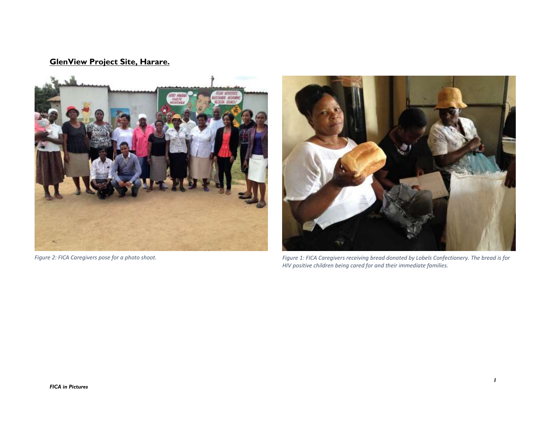### **GlenView Project Site, Harare.**



<span id="page-5-0"></span>

*Figure 2: FICA Caregivers pose for a photo shoot. Figure 1: FICA Caregivers receiving bread donated by Lobels Confectionery. The bread is for HIV positive children being cared for and their immediate families.*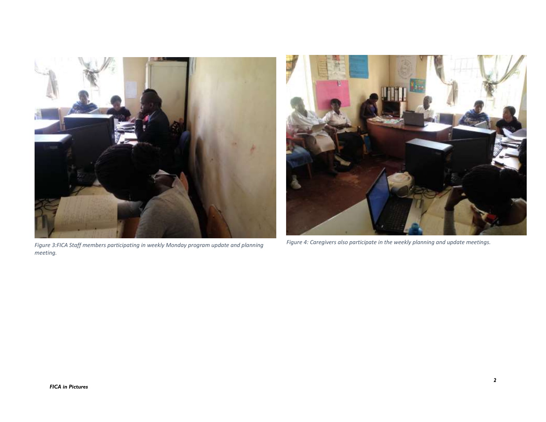

*Figure 3:FICA Staff members participating in weekly Monday program update and planning meeting.*



*Figure 4: Caregivers also participate in the weekly planning and update meetings.*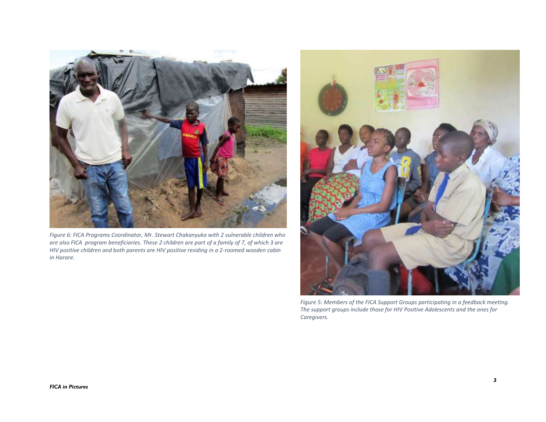

*Figure 6: FICA Programs Coordinator, Mr. Stewart Chakanyuka with 2 vulnerable children who are also FICA program beneficiaries. These 2 children are part of a family of 7, of which 3 are HIV positive children and both parents are HIV positive residing in a 2-roomed wooden cabin in Harare.*



*Figure 5: Members of the FICA Support Groups participating in a feedback meeting. The support groups include those for HIV Positive Adolescents and the ones for Caregivers.*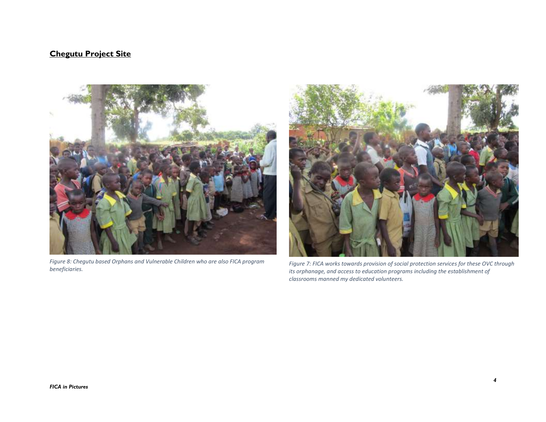#### **Chegutu Project Site**

<span id="page-8-0"></span>

*Figure 8: Chegutu based Orphans and Vulnerable Children who are also FICA program beneficiaries.*



*Figure 7: FICA works towards provision of social protection services for these OVC through its orphanage, and access to education programs including the establishment of classrooms manned my dedicated volunteers.*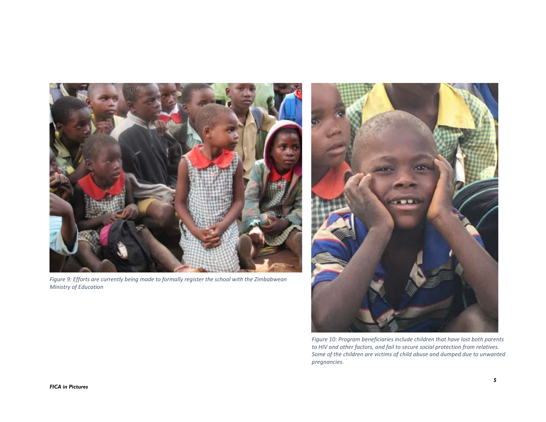

*Figure 9: Efforts are currently being made to formally register the school with the Zimbabwean Ministry of Education*



*Figure 10: Program beneficiaries include children that have lost both parents to HIV and other factors, and fail to secure social protection from relatives. Some of the children are victims of child abuse and dumped due to unwanted pregnancies.*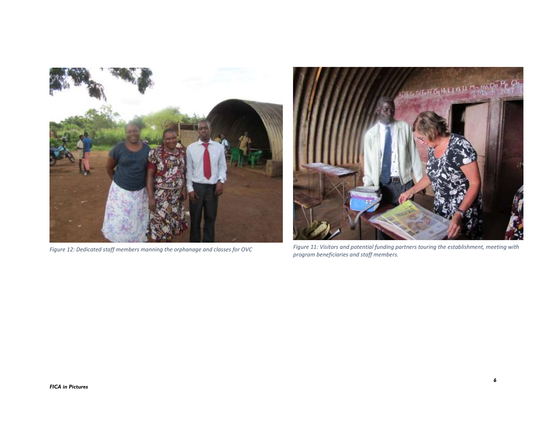



*Figure 12: Dedicated staff members manning the orphanage and classes for OVC Figure 11: Visitors and potential funding partners touring the establishment, meeting with program beneficiaries and staff members.*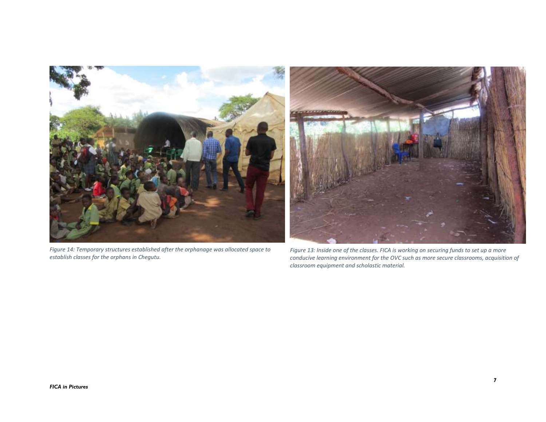

*Figure 14: Temporary structures established after the orphanage was allocated space to establish classes for the orphans in Chegutu.*

*Figure 13: Inside one of the classes. FICA is working on securing funds to set up a more conducive learning environment for the OVC such as more secure classrooms, acquisition of classroom equipment and scholastic material.*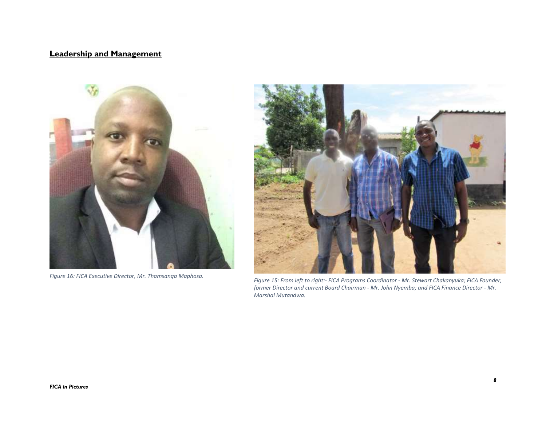### **Leadership and Management**

<span id="page-12-0"></span>

*Figure 16: FICA Executive Director, Mr. Thamsanqa Maphosa.*



*Figure 15: From left to right:- FICA Programs Coordinator - Mr. Stewart Chakanyuka; FICA Founder, former Director and current Board Chairman - Mr. John Nyemba; and FICA Finance Director - Mr. Marshal Mutandwa.*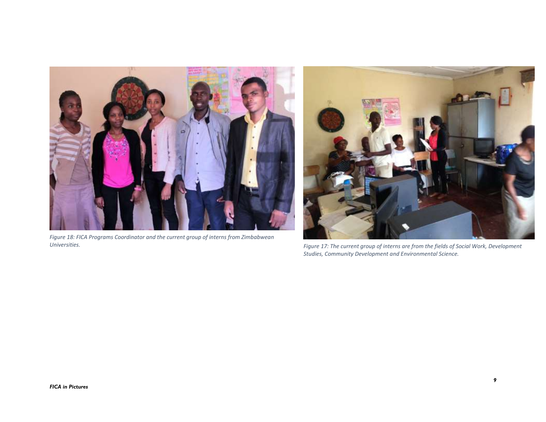

*Figure 18: FICA Programs Coordinator and the current group of interns from Zimbabwean* 



*Universities. Figure 17: The current group of interns are from the fields of Social Work, Development Studies, Community Development and Environmental Science.*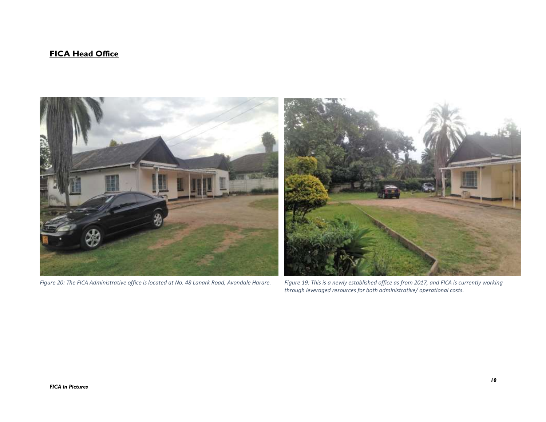#### **FICA Head Office**

<span id="page-14-0"></span>

*Figure 20: The FICA Administrative office is located at No. 48 Lanark Road, Avondale Harare. Figure 19: This is a newly established office as from 2017, and FICA is currently working* 

*through leveraged resources for both administrative/ operational costs.*